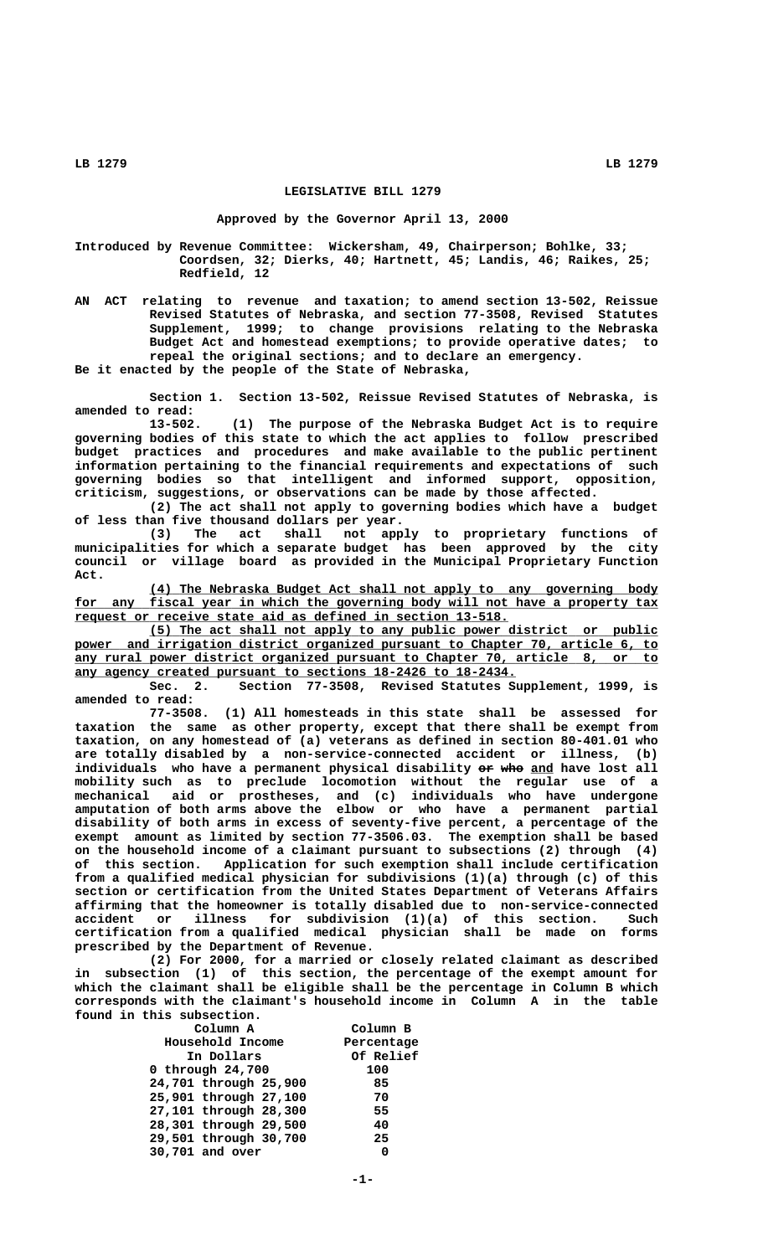**LB 1279 LB 1279**

## **LEGISLATIVE BILL 1279**

## **Approved by the Governor April 13, 2000**

**Introduced by Revenue Committee: Wickersham, 49, Chairperson; Bohlke, 33; Coordsen, 32; Dierks, 40; Hartnett, 45; Landis, 46; Raikes, 25; Redfield, 12** 

> **AN ACT relating to revenue and taxation; to amend section 13-502, Reissue Revised Statutes of Nebraska, and section 77-3508, Revised Statutes Supplement, 1999; to change provisions relating to the Nebraska Budget Act and homestead exemptions; to provide operative dates; to repeal the original sections; and to declare an emergency. Be it enacted by the people of the State of Nebraska,**

> **Section 1. Section 13-502, Reissue Revised Statutes of Nebraska, is amended to read:**

> **13-502. (1) The purpose of the Nebraska Budget Act is to require governing bodies of this state to which the act applies to follow prescribed budget practices and procedures and make available to the public pertinent information pertaining to the financial requirements and expectations of such governing bodies so that intelligent and informed support, opposition, criticism, suggestions, or observations can be made by those affected.**

> **(2) The act shall not apply to governing bodies which have a budget of less than five thousand dollars per year.**

> **(3) The act shall not apply to proprietary functions of municipalities for which a separate budget has been approved by the city council or village board as provided in the Municipal Proprietary Function Act.**

> **\_\_\_\_\_\_\_\_\_\_\_\_\_\_\_\_\_\_\_\_\_\_\_\_\_\_\_\_\_\_\_\_\_\_\_\_\_\_\_\_\_\_\_\_\_\_\_\_\_\_\_\_\_\_\_\_\_\_\_\_\_\_\_\_\_\_\_\_ (4) The Nebraska Budget Act shall not apply to any governing body** for any fiscal year in which the governing body will not have a property tax  **\_\_\_\_\_\_\_\_\_\_\_\_\_\_\_\_\_\_\_\_\_\_\_\_\_\_\_\_\_\_\_\_\_\_\_\_\_\_\_\_\_\_\_\_\_\_\_\_\_\_\_\_\_\_\_\_\_\_ request or receive state aid as defined in section 13-518.**

> **\_\_\_\_\_\_\_\_\_\_\_\_\_\_\_\_\_\_\_\_\_\_\_\_\_\_\_\_\_\_\_\_\_\_\_\_\_\_\_\_\_\_\_\_\_\_\_\_\_\_\_\_\_\_\_\_\_\_\_\_\_\_\_\_\_\_\_\_ (5) The act shall not apply to any public power district or public \_\_\_\_\_\_\_\_\_\_\_\_\_\_\_\_\_\_\_\_\_\_\_\_\_\_\_\_\_\_\_\_\_\_\_\_\_\_\_\_\_\_\_\_\_\_\_\_\_\_\_\_\_\_\_\_\_\_\_\_\_\_\_\_\_\_\_\_\_\_\_\_\_\_\_\_\_\_ power and irrigation district organized pursuant to Chapter 70, article 6, to \_\_\_\_\_\_\_\_\_\_\_\_\_\_\_\_\_\_\_\_\_\_\_\_\_\_\_\_\_\_\_\_\_\_\_\_\_\_\_\_\_\_\_\_\_\_\_\_\_\_\_\_\_\_\_\_\_\_\_\_\_\_\_\_\_\_\_\_\_\_\_\_\_\_\_\_\_\_ any rural power district organized pursuant to Chapter 70, article 8, or to any agency created pursuant to sections 18-2426 to 18-2434.**<br>Sec. 2. Section 77-3508, Revised Statutes St

> **Sec. 2. Section 77-3508, Revised Statutes Supplement, 1999, is amended to read:**

> **77-3508. (1) All homesteads in this state shall be assessed for taxation the same as other property, except that there shall be exempt from taxation, on any homestead of (a) veterans as defined in section 80-401.01 who are totally disabled by a non-service-connected accident or illness, (b)** individuals who have a permanent physical disability or who and have lost all **mobility such as to preclude locomotion without the regular use of a mechanical aid or prostheses, and (c) individuals who have undergone amputation of both arms above the elbow or who have a permanent partial disability of both arms in excess of seventy-five percent, a percentage of the exempt amount as limited by section 77-3506.03. The exemption shall be based on the household income of a claimant pursuant to subsections (2) through (4) of this section. Application for such exemption shall include certification from a qualified medical physician for subdivisions (1)(a) through (c) of this section or certification from the United States Department of Veterans Affairs affirming that the homeowner is totally disabled due to non-service-connected accident or illness for subdivision (1)(a) of this section. Such certification from a qualified medical physician shall be made on forms prescribed by the Department of Revenue.**

> **(2) For 2000, for a married or closely related claimant as described in subsection (1) of this section, the percentage of the exempt amount for which the claimant shall be eligible shall be the percentage in Column B which corresponds with the claimant's household income in Column A in the table found in this subsection.**

| Column A<br>Household Income | Column B<br>Percentage |
|------------------------------|------------------------|
| In Dollars                   | Of Relief              |
| 0 through 24,700             | 100                    |
| 24,701 through 25,900        | 85                     |
| 25,901 through 27,100        | 70                     |
| 27,101 through 28,300        | 55                     |
| 28,301 through 29,500        | 40                     |
| 29,501 through 30,700        | 25                     |
| 30,701 and over              | 0                      |